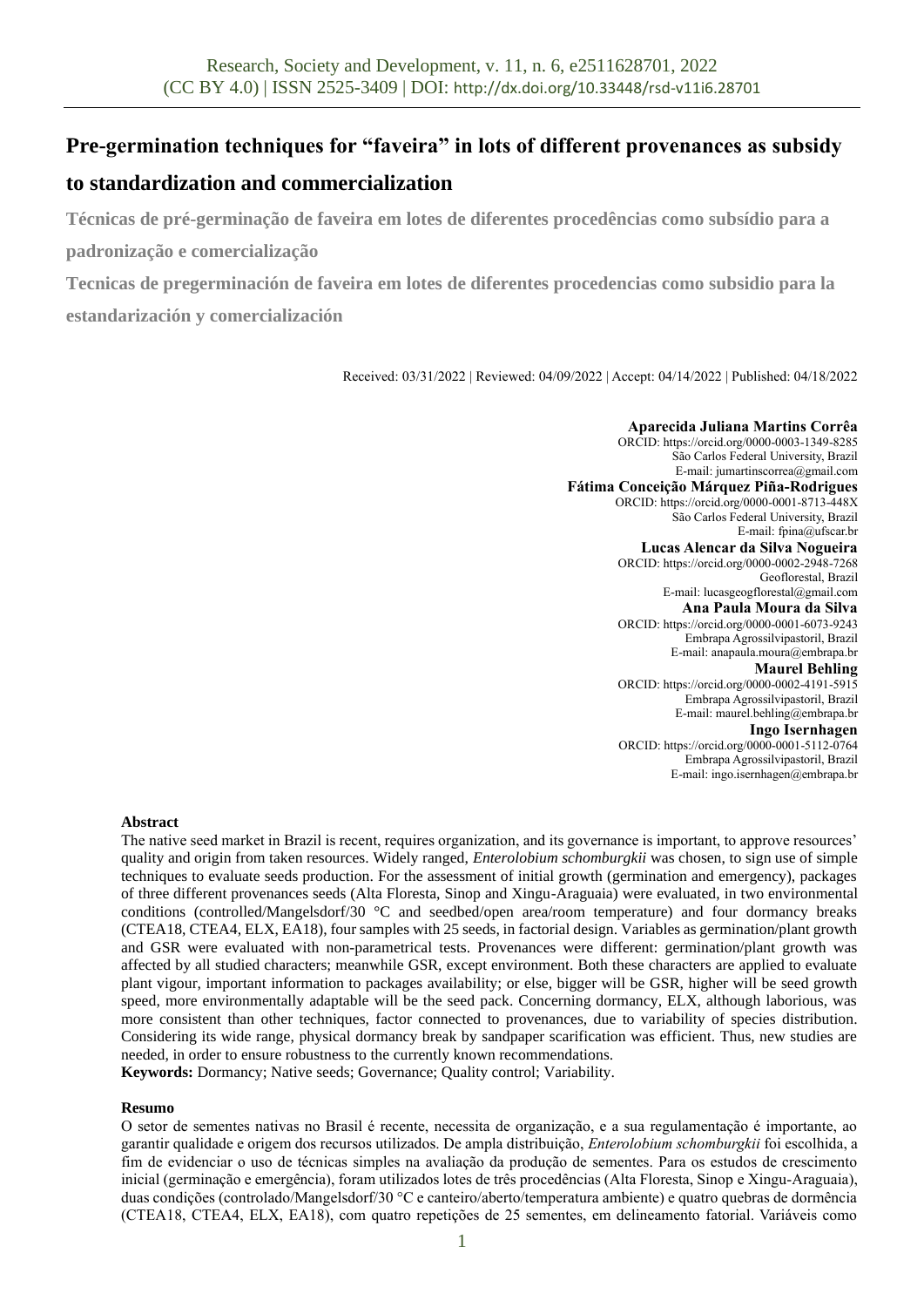# **Pre-germination techniques for "faveira" in lots of different provenances as subsidy**

# **to standardization and commercialization**

**Técnicas de pré-germinação de faveira em lotes de diferentes procedências como subsídio para a padronização e comercialização**

**Tecnicas de pregerminación de faveira em lotes de diferentes procedencias como subsidio para la estandarización y comercialización**

Received: 03/31/2022 | Reviewed: 04/09/2022 | Accept: 04/14/2022 | Published: 04/18/2022

**Aparecida Juliana Martins Corrêa** ORCID: https://orcid.org/0000-0003-1349-8285 São Carlos Federal University, Brazil E-mail: jumartinscorrea@gmail.com **Fátima Conceição Márquez Piña-Rodrigues** ORCID: https://orcid.org/0000-0001-8713-448X São Carlos Federal University, Brazil E-mail: fpina@ufscar.br **Lucas Alencar da Silva Nogueira** ORCID: https://orcid.org/0000-0002-2948-7268 Geoflorestal, Brazil E-mail: lucasgeogflorestal@gmail.com **Ana Paula Moura da Silva** ORCID: https://orcid.org/0000-0001-6073-9243 Embrapa Agrossilvipastoril, Brazil E-mail: anapaula.moura@embrapa.br **Maurel Behling** ORCID: https://orcid.org/0000-0002-4191-5915 Embrapa Agrossilvipastoril, Brazil E-mail: maurel.behling@embrapa.br **Ingo Isernhagen** ORCID: https://orcid.org/0000-0001-5112-0764 Embrapa Agrossilvipastoril, Brazil E-mail: ingo.isernhagen@embrapa.br

# **Abstract**

The native seed market in Brazil is recent, requires organization, and its governance is important, to approve resources' quality and origin from taken resources. Widely ranged, *Enterolobium schomburgkii* was chosen, to sign use of simple techniques to evaluate seeds production. For the assessment of initial growth (germination and emergency), packages of three different provenances seeds (Alta Floresta, Sinop and Xingu-Araguaia) were evaluated, in two environmental conditions (controlled/Mangelsdorf/30 °C and seedbed/open area/room temperature) and four dormancy breaks (CTEA18, CTEA4, ELX, EA18), four samples with 25 seeds, in factorial design. Variables as germination/plant growth and GSR were evaluated with non-parametrical tests. Provenances were different: germination/plant growth was affected by all studied characters; meanwhile GSR, except environment. Both these characters are applied to evaluate plant vigour, important information to packages availability; or else, bigger will be GSR, higher will be seed growth speed, more environmentally adaptable will be the seed pack. Concerning dormancy, ELX, although laborious, was more consistent than other techniques, factor connected to provenances, due to variability of species distribution. Considering its wide range, physical dormancy break by sandpaper scarification was efficient. Thus, new studies are needed, in order to ensure robustness to the currently known recommendations. **Keywords:** Dormancy; Native seeds; Governance; Quality control; Variability.

### **Resumo**

O setor de sementes nativas no Brasil é recente, necessita de organização, e a sua regulamentação é importante, ao garantir qualidade e origem dos recursos utilizados. De ampla distribuição, *Enterolobium schomburgkii* foi escolhida, a fim de evidenciar o uso de técnicas simples na avaliação da produção de sementes. Para os estudos de crescimento inicial (germinação e emergência), foram utilizados lotes de três procedências (Alta Floresta, Sinop e Xingu-Araguaia), duas condições (controlado/Mangelsdorf/30 °C e canteiro/aberto/temperatura ambiente) e quatro quebras de dormência (CTEA18, CTEA4, ELX, EA18), com quatro repetições de 25 sementes, em delineamento fatorial. Variáveis como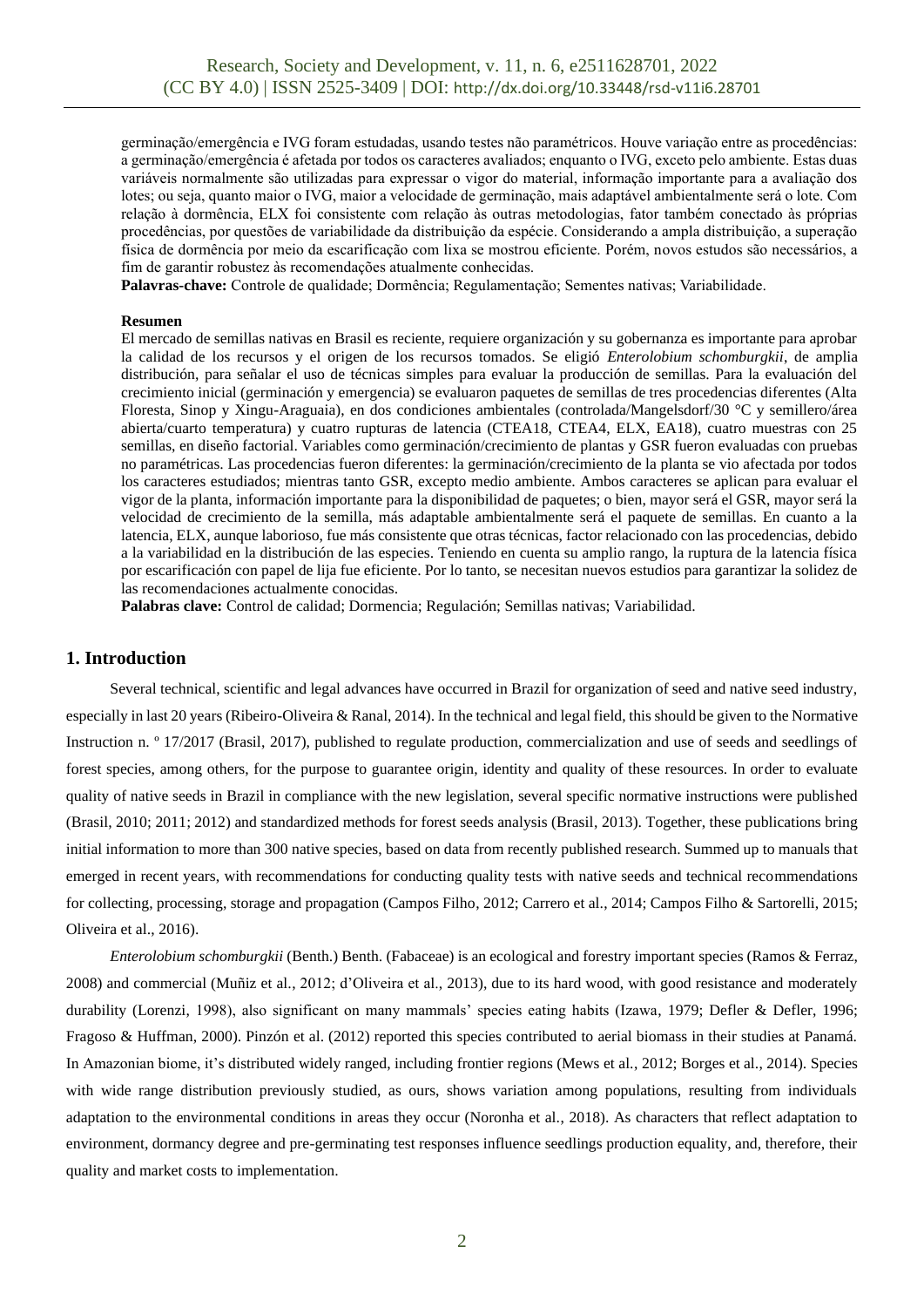germinação/emergência e IVG foram estudadas, usando testes não paramétricos. Houve variação entre as procedências: a germinação/emergência é afetada por todos os caracteres avaliados; enquanto o IVG, exceto pelo ambiente. Estas duas variáveis normalmente são utilizadas para expressar o vigor do material, informação importante para a avaliação dos lotes; ou seja, quanto maior o IVG, maior a velocidade de germinação, mais adaptável ambientalmente será o lote. Com relação à dormência, ELX foi consistente com relação às outras metodologias, fator também conectado às próprias procedências, por questões de variabilidade da distribuição da espécie. Considerando a ampla distribuição, a superação física de dormência por meio da escarificação com lixa se mostrou eficiente. Porém, novos estudos são necessários, a fim de garantir robustez às recomendações atualmente conhecidas.

**Palavras-chave:** Controle de qualidade; Dormência; Regulamentação; Sementes nativas; Variabilidade.

#### **Resumen**

El mercado de semillas nativas en Brasil es reciente, requiere organización y su gobernanza es importante para aprobar la calidad de los recursos y el origen de los recursos tomados. Se eligió *Enterolobium schomburgkii*, de amplia distribución, para señalar el uso de técnicas simples para evaluar la producción de semillas. Para la evaluación del crecimiento inicial (germinación y emergencia) se evaluaron paquetes de semillas de tres procedencias diferentes (Alta Floresta, Sinop y Xingu-Araguaia), en dos condiciones ambientales (controlada/Mangelsdorf/30 °C y semillero/área abierta/cuarto temperatura) y cuatro rupturas de latencia (CTEA18, CTEA4, ELX, EA18), cuatro muestras con 25 semillas, en diseño factorial. Variables como germinación/crecimiento de plantas y GSR fueron evaluadas con pruebas no paramétricas. Las procedencias fueron diferentes: la germinación/crecimiento de la planta se vio afectada por todos los caracteres estudiados; mientras tanto GSR, excepto medio ambiente. Ambos caracteres se aplican para evaluar el vigor de la planta, información importante para la disponibilidad de paquetes; o bien, mayor será el GSR, mayor será la velocidad de crecimiento de la semilla, más adaptable ambientalmente será el paquete de semillas. En cuanto a la latencia, ELX, aunque laborioso, fue más consistente que otras técnicas, factor relacionado con las procedencias, debido a la variabilidad en la distribución de las especies. Teniendo en cuenta su amplio rango, la ruptura de la latencia física por escarificación con papel de lija fue eficiente. Por lo tanto, se necesitan nuevos estudios para garantizar la solidez de las recomendaciones actualmente conocidas.

**Palabras clave:** Control de calidad; Dormencia; Regulación; Semillas nativas; Variabilidad.

## **1. Introduction**

Several technical, scientific and legal advances have occurred in Brazil for organization of seed and native seed industry, especially in last 20 years (Ribeiro-Oliveira & Ranal, 2014). In the technical and legal field, this should be given to the Normative Instruction n. º 17/2017 (Brasil, 2017), published to regulate production, commercialization and use of seeds and seedlings of forest species, among others, for the purpose to guarantee origin, identity and quality of these resources. In order to evaluate quality of native seeds in Brazil in compliance with the new legislation, several specific normative instructions were published (Brasil, 2010; 2011; 2012) and standardized methods for forest seeds analysis (Brasil, 2013). Together, these publications bring initial information to more than 300 native species, based on data from recently published research. Summed up to manuals that emerged in recent years, with recommendations for conducting quality tests with native seeds and technical recommendations for collecting, processing, storage and propagation (Campos Filho, 2012; Carrero et al., 2014; Campos Filho & Sartorelli, 2015; Oliveira et al., 2016).

*Enterolobium schomburgkii* (Benth.) Benth. (Fabaceae) is an ecological and forestry important species (Ramos & Ferraz, 2008) and commercial (Muñiz et al., 2012; d'Oliveira et al., 2013), due to its hard wood, with good resistance and moderately durability (Lorenzi, 1998), also significant on many mammals' species eating habits (Izawa, 1979; Defler & Defler, 1996; Fragoso & Huffman, 2000). Pinzón et al. (2012) reported this species contributed to aerial biomass in their studies at Panamá. In Amazonian biome, it's distributed widely ranged, including frontier regions (Mews et al., 2012; Borges et al., 2014). Species with wide range distribution previously studied, as ours, shows variation among populations, resulting from individuals adaptation to the environmental conditions in areas they occur (Noronha et al., 2018). As characters that reflect adaptation to environment, dormancy degree and pre-germinating test responses influence seedlings production equality, and, therefore, their quality and market costs to implementation.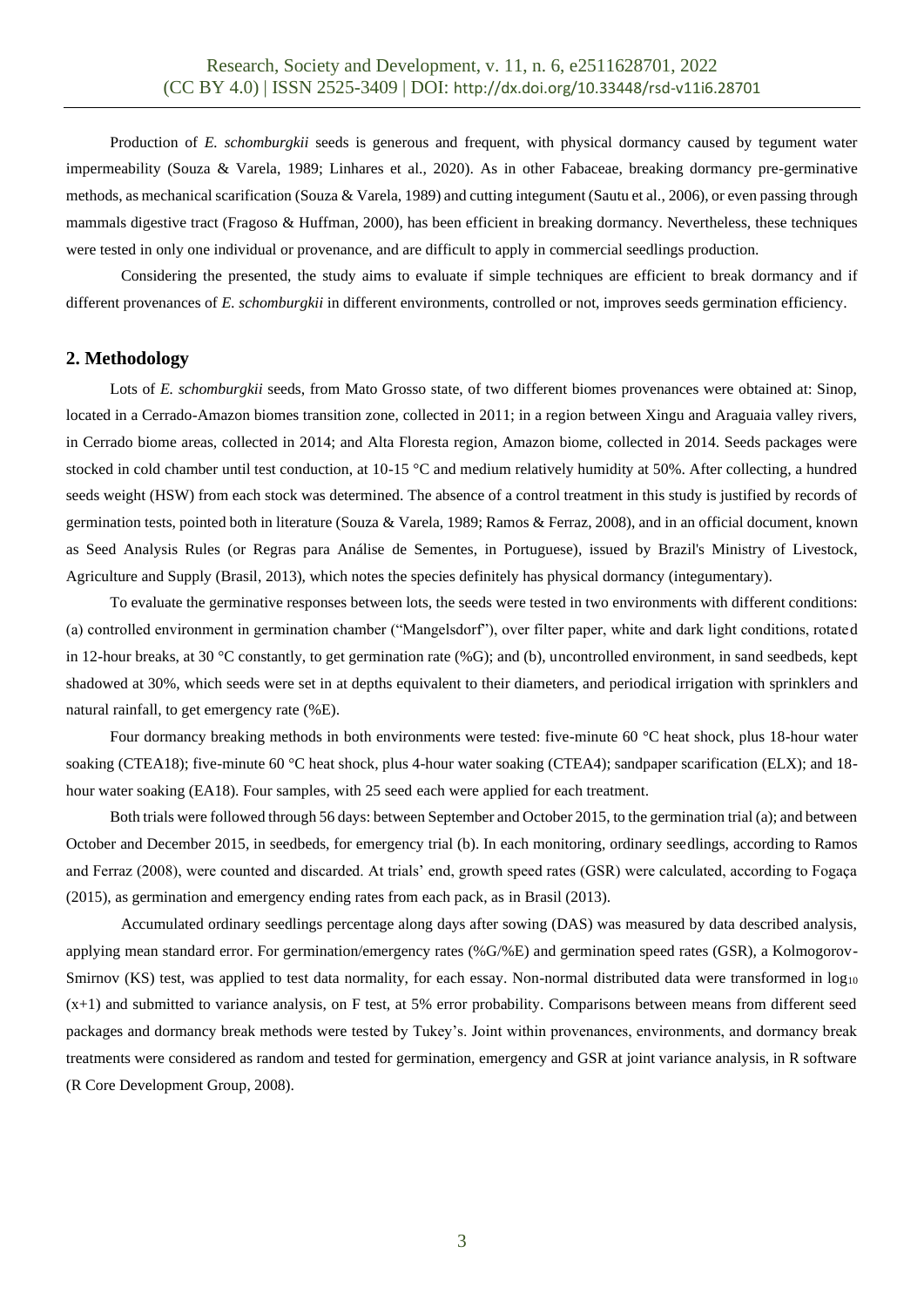Production of *E. schomburgkii* seeds is generous and frequent, with physical dormancy caused by tegument water impermeability (Souza & Varela, 1989; Linhares et al., 2020). As in other Fabaceae, breaking dormancy pre-germinative methods, as mechanical scarification (Souza & Varela, 1989) and cutting integument (Sautu et al., 2006), or even passing through mammals digestive tract (Fragoso & Huffman, 2000), has been efficient in breaking dormancy. Nevertheless, these techniques were tested in only one individual or provenance, and are difficult to apply in commercial seedlings production.

Considering the presented, the study aims to evaluate if simple techniques are efficient to break dormancy and if different provenances of *E. schomburgkii* in different environments, controlled or not, improves seeds germination efficiency.

### **2. Methodology**

Lots of *E. schomburgkii* seeds, from Mato Grosso state, of two different biomes provenances were obtained at: Sinop, located in a Cerrado-Amazon biomes transition zone, collected in 2011; in a region between Xingu and Araguaia valley rivers, in Cerrado biome areas, collected in 2014; and Alta Floresta region, Amazon biome, collected in 2014. Seeds packages were stocked in cold chamber until test conduction, at 10-15 °C and medium relatively humidity at 50%. After collecting, a hundred seeds weight (HSW) from each stock was determined. The absence of a control treatment in this study is justified by records of germination tests, pointed both in literature (Souza & Varela, 1989; Ramos & Ferraz, 2008), and in an official document, known as Seed Analysis Rules (or Regras para Análise de Sementes, in Portuguese), issued by Brazil's Ministry of Livestock, Agriculture and Supply (Brasil, 2013), which notes the species definitely has physical dormancy (integumentary).

To evaluate the germinative responses between lots, the seeds were tested in two environments with different conditions: (a) controlled environment in germination chamber ("Mangelsdorf"), over filter paper, white and dark light conditions, rotated in 12-hour breaks, at 30 °C constantly, to get germination rate (%G); and (b), uncontrolled environment, in sand seedbeds, kept shadowed at 30%, which seeds were set in at depths equivalent to their diameters, and periodical irrigation with sprinklers and natural rainfall, to get emergency rate (%E).

Four dormancy breaking methods in both environments were tested: five-minute 60 °C heat shock, plus 18-hour water soaking (CTEA18); five-minute 60 °C heat shock, plus 4-hour water soaking (CTEA4); sandpaper scarification (ELX); and 18hour water soaking (EA18). Four samples, with 25 seed each were applied for each treatment.

Both trials were followed through 56 days: between September and October 2015, to the germination trial (a); and between October and December 2015, in seedbeds, for emergency trial (b). In each monitoring, ordinary seedlings, according to Ramos and Ferraz (2008), were counted and discarded. At trials' end, growth speed rates (GSR) were calculated, according to Fogaça (2015), as germination and emergency ending rates from each pack, as in Brasil (2013).

Accumulated ordinary seedlings percentage along days after sowing (DAS) was measured by data described analysis, applying mean standard error. For germination/emergency rates (%G/%E) and germination speed rates (GSR), a Kolmogorov-Smirnov (KS) test, was applied to test data normality, for each essay. Non-normal distributed data were transformed in  $log_{10}$  $(x+1)$  and submitted to variance analysis, on F test, at 5% error probability. Comparisons between means from different seed packages and dormancy break methods were tested by Tukey's. Joint within provenances, environments, and dormancy break treatments were considered as random and tested for germination, emergency and GSR at joint variance analysis, in R software (R Core Development Group, 2008).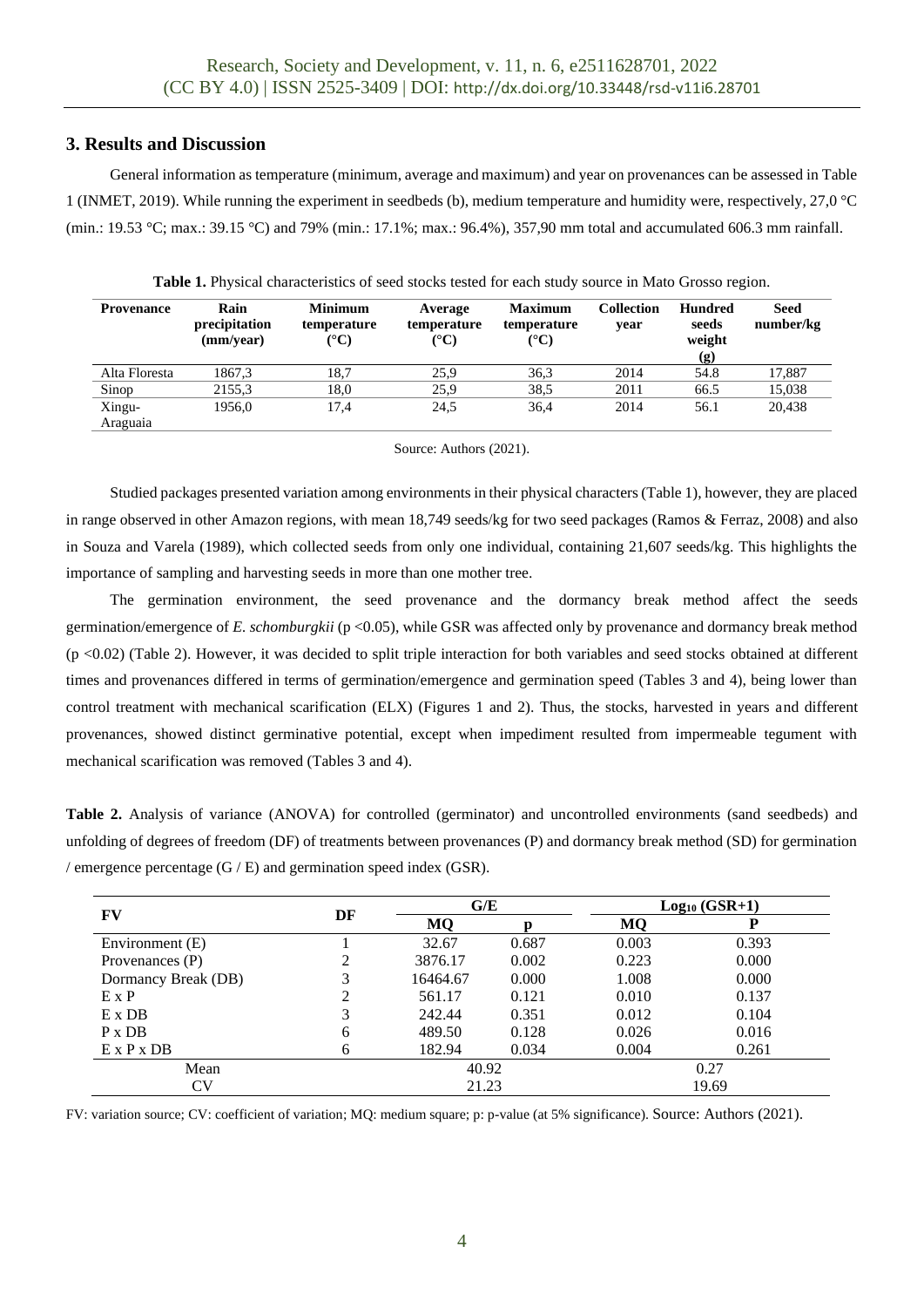# **3. Results and Discussion**

General information as temperature (minimum, average and maximum) and year on provenances can be assessed in Table 1 (INMET, 2019). While running the experiment in seedbeds (b), medium temperature and humidity were, respectively, 27,0 °C (min.: 19.53 °C; max.: 39.15 °C) and 79% (min.: 17.1%; max.: 96.4%), 357,90 mm total and accumulated 606.3 mm rainfall.

| <b>Provenance</b> | Rain<br>precipitation<br>(mm/year) | Minimum<br>temperature<br>(°C) | Average<br>temperature<br>$({}^{\circ}{\bf C})$ | <b>Maximum</b><br>temperature<br>(°C) | <b>Collection</b><br>vear | <b>Hundred</b><br>seeds<br>weight<br>$\left( \mathbf{g} \right)$ | <b>Seed</b><br>number/kg |
|-------------------|------------------------------------|--------------------------------|-------------------------------------------------|---------------------------------------|---------------------------|------------------------------------------------------------------|--------------------------|
| Alta Floresta     | 1867.3                             | 18.7                           | 25.9                                            | 36.3                                  | 2014                      | 54.8                                                             | 17.887                   |
| Sinop             | 2155.3                             | 18.0                           | 25,9                                            | 38.5                                  | 2011                      | 66.5                                                             | 15,038                   |
| Xingu-            | 1956,0                             | 17.4                           | 24,5                                            | 36,4                                  | 2014                      | 56.1                                                             | 20,438                   |
| Araguaia          |                                    |                                |                                                 |                                       |                           |                                                                  |                          |

**Table 1.** Physical characteristics of seed stocks tested for each study source in Mato Grosso region.

#### Source: Authors (2021).

Studied packages presented variation among environments in their physical characters (Table 1), however, they are placed in range observed in other Amazon regions, with mean 18,749 seeds/kg for two seed packages (Ramos & Ferraz, 2008) and also in Souza and Varela (1989), which collected seeds from only one individual, containing 21,607 seeds/kg. This highlights the importance of sampling and harvesting seeds in more than one mother tree.

The germination environment, the seed provenance and the dormancy break method affect the seeds germination/emergence of *E. schomburgkii* (p <0.05), while GSR was affected only by provenance and dormancy break method (p <0.02) (Table 2). However, it was decided to split triple interaction for both variables and seed stocks obtained at different times and provenances differed in terms of germination/emergence and germination speed (Tables 3 and 4), being lower than control treatment with mechanical scarification (ELX) (Figures 1 and 2). Thus, the stocks, harvested in years and different provenances, showed distinct germinative potential, except when impediment resulted from impermeable tegument with mechanical scarification was removed (Tables 3 and 4).

**Table 2.** Analysis of variance (ANOVA) for controlled (germinator) and uncontrolled environments (sand seedbeds) and unfolding of degrees of freedom (DF) of treatments between provenances (P) and dormancy break method (SD) for germination / emergence percentage (G / E) and germination speed index (GSR).

| FV                     | DF | G/E      |       | $Log10 (GSR+1)$ |       |  |
|------------------------|----|----------|-------|-----------------|-------|--|
|                        |    | MQ       |       | MQ              | D     |  |
| Environment (E)        |    | 32.67    | 0.687 | 0.003           | 0.393 |  |
| Provenances (P)        |    | 3876.17  | 0.002 | 0.223           | 0.000 |  |
| Dormancy Break (DB)    | 3  | 16464.67 | 0.000 | 1.008           | 0.000 |  |
| $E \times P$           |    | 561.17   | 0.121 | 0.010           | 0.137 |  |
| $E \times DB$          | 3  | 242.44   | 0.351 | 0.012           | 0.104 |  |
| $P \times DB$          | 6  | 489.50   | 0.128 | 0.026           | 0.016 |  |
| $E \times P \times DB$ | 6  | 182.94   | 0.034 | 0.004           | 0.261 |  |
| Mean                   |    | 40.92    |       | 0.27            |       |  |
| CV                     |    | 21.23    |       | 19.69           |       |  |

FV: variation source; CV: coefficient of variation; MQ: medium square; p: p-value (at 5% significance). Source: Authors (2021).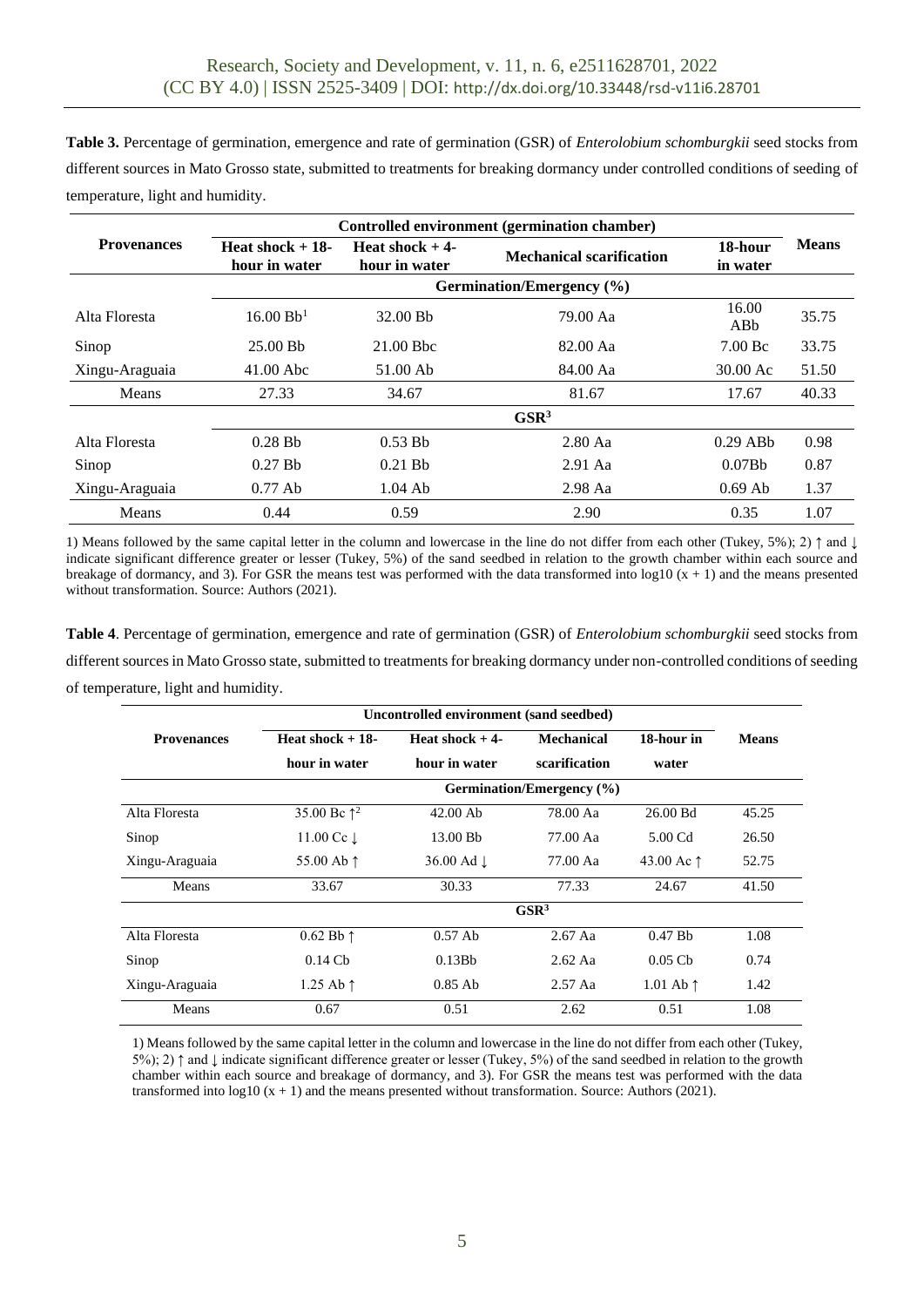**Table 3.** Percentage of germination, emergence and rate of germination (GSR) of *Enterolobium schomburgkii* seed stocks from different sources in Mato Grosso state, submitted to treatments for breaking dormancy under controlled conditions of seeding of temperature, light and humidity.

|                    | Controlled environment (germination chamber) |                                                                       |           |                        |              |  |
|--------------------|----------------------------------------------|-----------------------------------------------------------------------|-----------|------------------------|--------------|--|
| <b>Provenances</b> | Heat shock $+18$ -<br>hour in water          | Heat shock $+4$ -<br><b>Mechanical scarification</b><br>hour in water |           | 18-hour<br>in water    | <b>Means</b> |  |
|                    | Germination/Emergency (%)                    |                                                                       |           |                        |              |  |
| Alta Floresta      | 16.00 Bb <sup>1</sup>                        | 32.00 Bb                                                              | 79.00 Aa  | 16.00<br>ABb           | 35.75        |  |
| Sinop              | 25.00 Bb                                     | $21.00$ Bbc                                                           | 82.00 Aa  | $7.00\,\text{Bc}$      | 33.75        |  |
| Xingu-Araguaia     | $41.00$ Abc                                  | 51.00 Ab                                                              | 84.00 Aa  | 30.00 Ac               | 51.50        |  |
| Means              | 27.33                                        | 34.67                                                                 | 81.67     | 17.67                  | 40.33        |  |
|                    | GSR <sup>3</sup>                             |                                                                       |           |                        |              |  |
| Alta Floresta      | $0.28$ Bb                                    | $0.53$ Bb                                                             | $2.80$ Aa | $0.29$ AB <sub>b</sub> | 0.98         |  |
| Sinop              | $0.27$ Bb                                    | $0.21$ Bb                                                             | $2.91$ Aa | 0.07B <sub>b</sub>     | 0.87         |  |
| Xingu-Araguaia     | $0.77$ Ab                                    | $1.04$ Ab                                                             | $2.98$ Aa | $0.69$ Ab              | 1.37         |  |
| Means              | 0.44                                         | 0.59                                                                  | 2.90      | 0.35                   | 1.07         |  |

1) Means followed by the same capital letter in the column and lowercase in the line do not differ from each other (Tukey, 5%); 2) ↑ and ↓ indicate significant difference greater or lesser (Tukey, 5%) of the sand seedbed in relation to the growth chamber within each source and breakage of dormancy, and 3). For GSR the means test was performed with the data transformed into  $log10(x + 1)$  and the means presented without transformation. Source: Authors (2021).

**Table 4**. Percentage of germination, emergence and rate of germination (GSR) of *Enterolobium schomburgkii* seed stocks from different sources in Mato Grosso state, submitted to treatments for breaking dormancy under non-controlled conditions of seeding of temperature, light and humidity.

|                    | Uncontrolled environment (sand seedbed) |                       |                   |                     |              |  |  |  |
|--------------------|-----------------------------------------|-----------------------|-------------------|---------------------|--------------|--|--|--|
| <b>Provenances</b> | Heat shock $+18$ -                      | Heat shock $+4$ -     | <b>Mechanical</b> | 18-hour in          | <b>Means</b> |  |  |  |
|                    | hour in water                           | hour in water         | scarification     | water               |              |  |  |  |
|                    | Germination/Emergency (%)               |                       |                   |                     |              |  |  |  |
| Alta Floresta      | 35.00 Bc $\uparrow^2$                   | $42.00$ Ab            | 78.00 Aa          | 26.00 Bd            | 45.25        |  |  |  |
| Sinop              | 11.00 Cc $\downarrow$                   | 13.00 Bb              | 77.00 Aa          | 5.00 Cd             | 26.50        |  |  |  |
| Xingu-Araguaia     | 55.00 Ab $\uparrow$                     | 36.00 Ad $\downarrow$ | 77.00 Aa          | 43.00 Ac $\uparrow$ | 52.75        |  |  |  |
| Means              | 33.67                                   | 30.33                 | 77.33             | 24.67               | 41.50        |  |  |  |
|                    | GSR <sup>3</sup>                        |                       |                   |                     |              |  |  |  |
| Alta Floresta      | $0.62$ Bb $\uparrow$                    | $0.57$ Ab             | $2.67$ Aa         | $0.47$ Bb           | 1.08         |  |  |  |
| Sinop              | $0.14$ Cb                               | 0.13B <sub>b</sub>    | $2.62$ Aa         | $0.05$ Cb           | 0.74         |  |  |  |
| Xingu-Araguaia     | 1.25 Ab $\uparrow$                      | $0.85$ Ab             | $2.57$ Aa         | 1.01 Ab $\uparrow$  | 1.42         |  |  |  |
| Means              | 0.67                                    | 0.51                  | 2.62              | 0.51                | 1.08         |  |  |  |

1) Means followed by the same capital letter in the column and lowercase in the line do not differ from each other (Tukey,  $5\%$ ; 2)  $\uparrow$  and  $\downarrow$  indicate significant difference greater or lesser (Tukey, 5%) of the sand seedbed in relation to the growth chamber within each source and breakage of dormancy, and 3). For GSR the means test was performed with the data transformed into log10 (x + 1) and the means presented without transformation. Source: Authors (2021).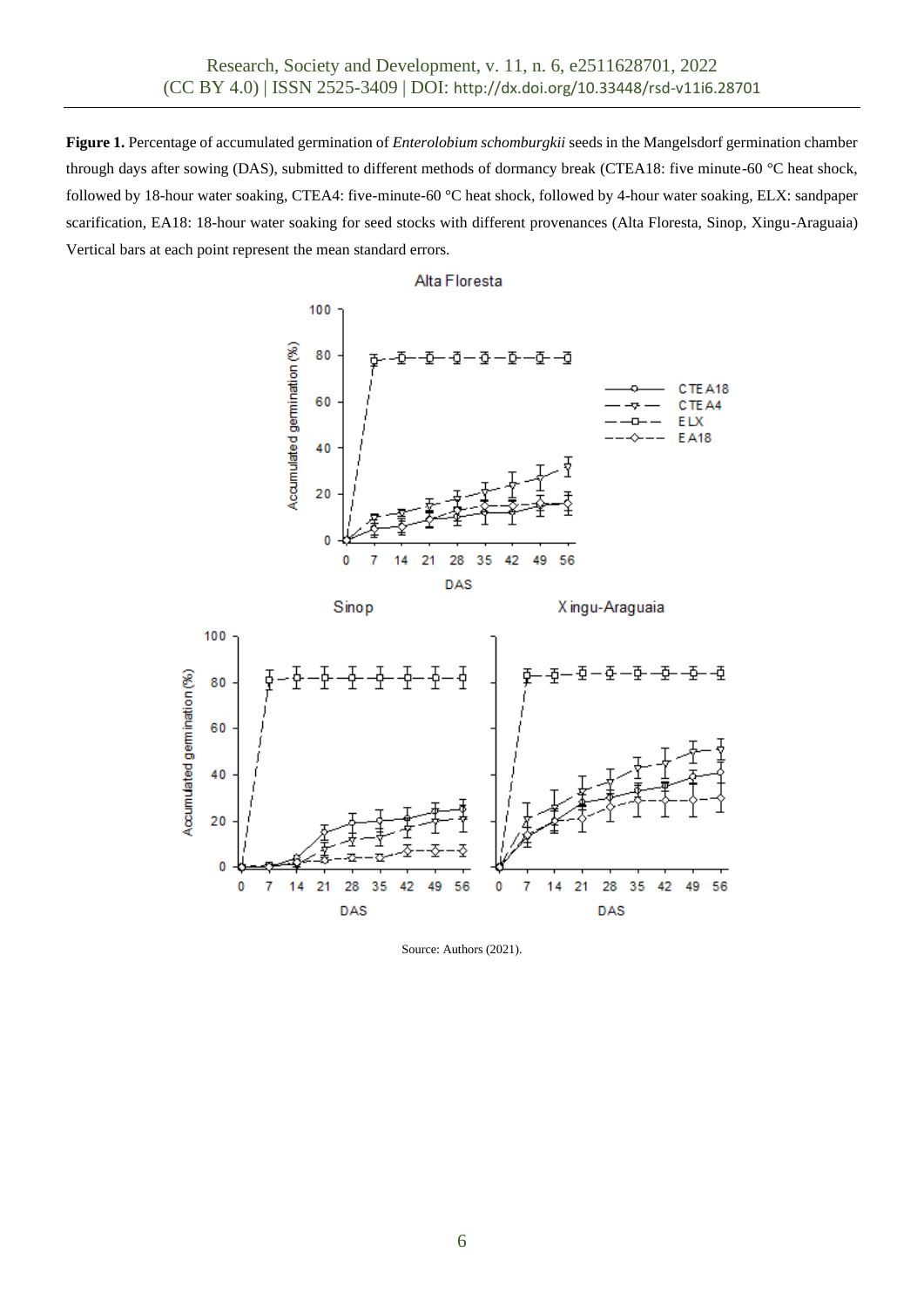**Figure 1.** Percentage of accumulated germination of *Enterolobium schomburgkii* seeds in the Mangelsdorf germination chamber through days after sowing (DAS), submitted to different methods of dormancy break (CTEA18: five minute-60 °C heat shock, followed by 18-hour water soaking, CTEA4: five-minute-60 °C heat shock, followed by 4-hour water soaking, ELX: sandpaper scarification, EA18: 18-hour water soaking for seed stocks with different provenances (Alta Floresta, Sinop, Xingu-Araguaia) Vertical bars at each point represent the mean standard errors.





Source: Authors (2021).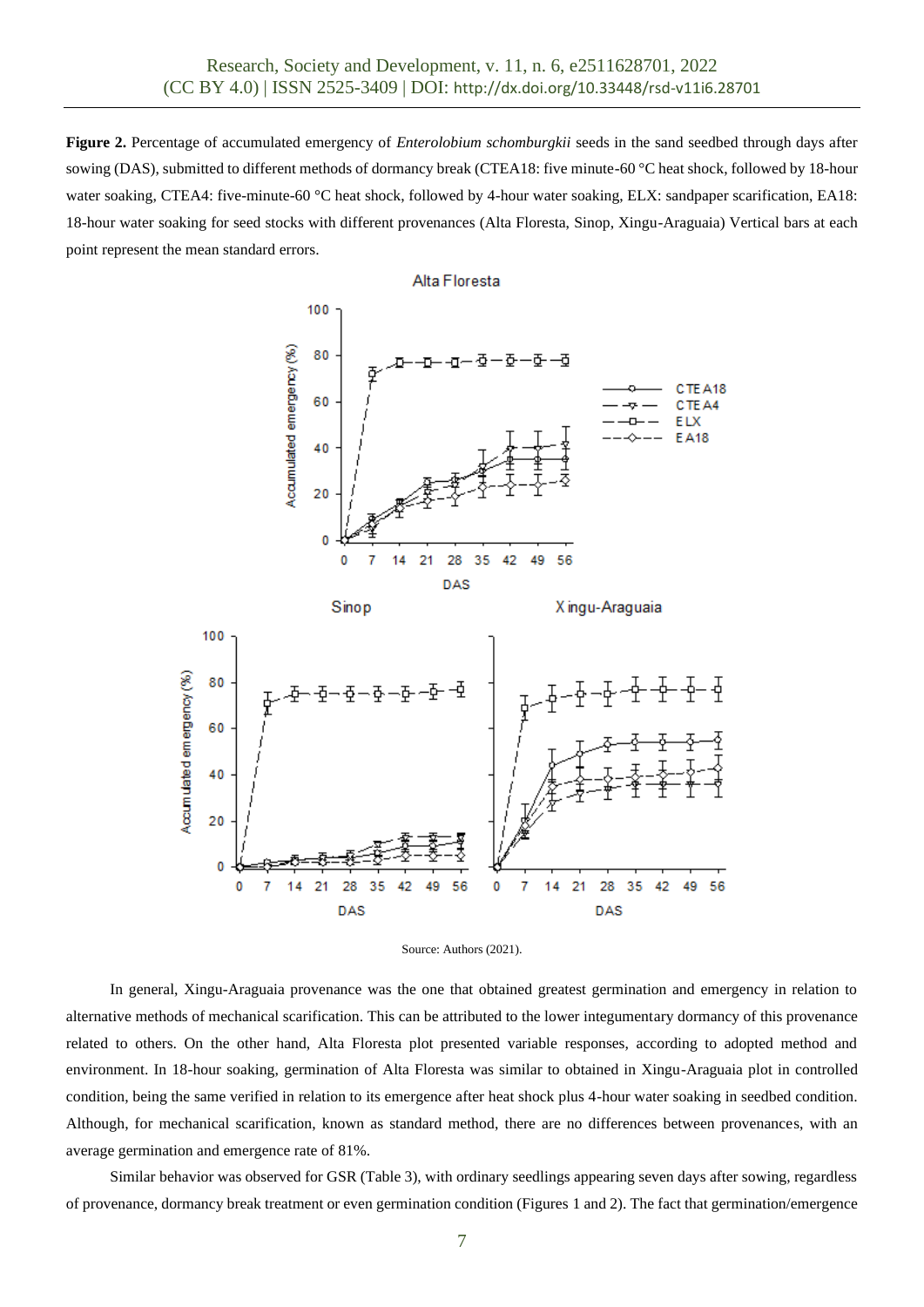**Figure 2.** Percentage of accumulated emergency of *Enterolobium schomburgkii* seeds in the sand seedbed through days after sowing (DAS), submitted to different methods of dormancy break (CTEA18: five minute-60 °C heat shock, followed by 18-hour water soaking, CTEA4: five-minute-60 °C heat shock, followed by 4-hour water soaking, ELX: sandpaper scarification, EA18: 18-hour water soaking for seed stocks with different provenances (Alta Floresta, Sinop, Xingu-Araguaia) Vertical bars at each point represent the mean standard errors.





In general, Xingu-Araguaia provenance was the one that obtained greatest germination and emergency in relation to alternative methods of mechanical scarification. This can be attributed to the lower integumentary dormancy of this provenance related to others. On the other hand, Alta Floresta plot presented variable responses, according to adopted method and environment. In 18-hour soaking, germination of Alta Floresta was similar to obtained in Xingu-Araguaia plot in controlled condition, being the same verified in relation to its emergence after heat shock plus 4-hour water soaking in seedbed condition. Although, for mechanical scarification, known as standard method, there are no differences between provenances, with an average germination and emergence rate of 81%.

Similar behavior was observed for GSR (Table 3), with ordinary seedlings appearing seven days after sowing, regardless of provenance, dormancy break treatment or even germination condition (Figures 1 and 2). The fact that germination/emergence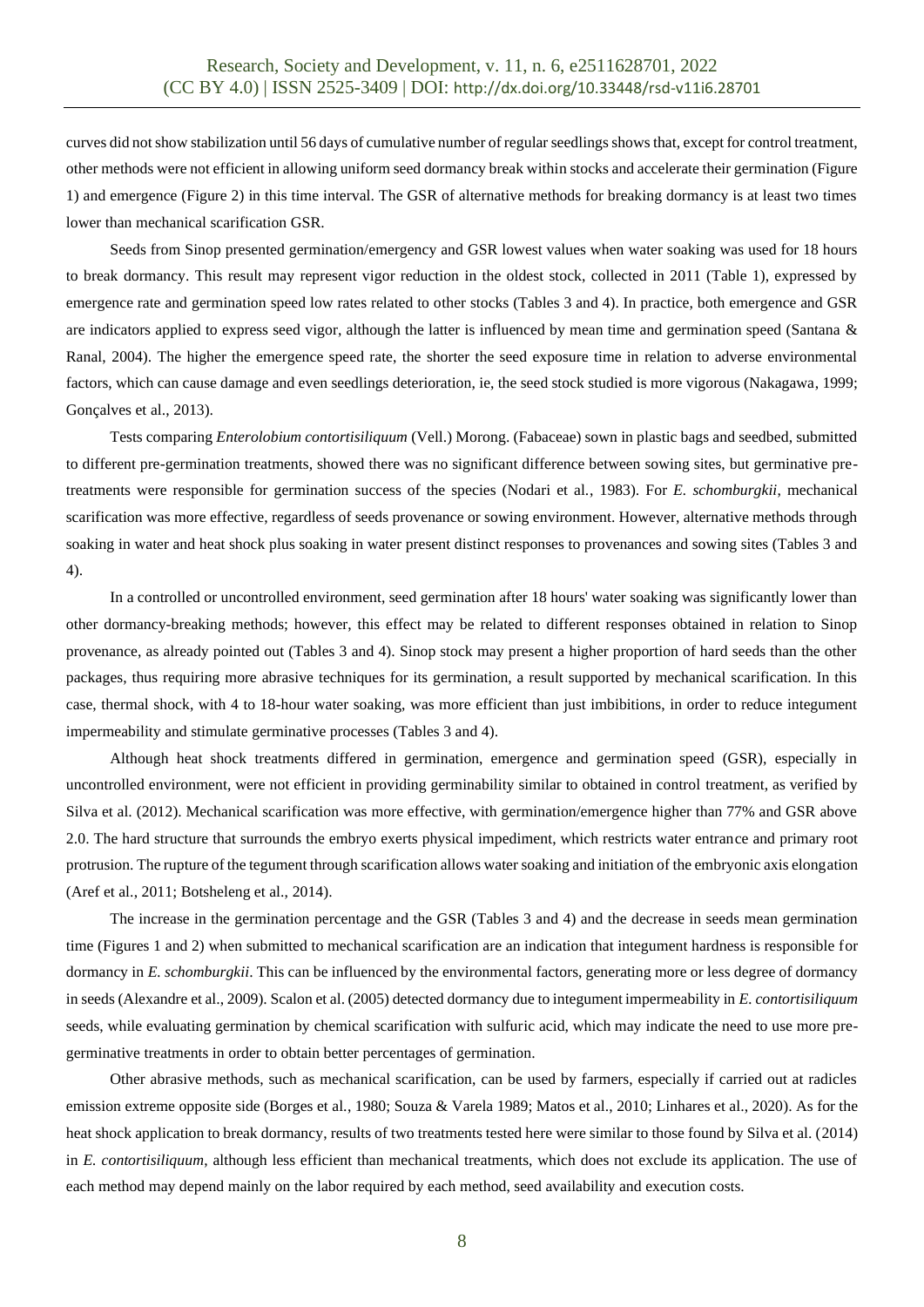curves did not show stabilization until 56 days of cumulative number of regular seedlings shows that, except for control treatment, other methods were not efficient in allowing uniform seed dormancy break within stocks and accelerate their germination (Figure 1) and emergence (Figure 2) in this time interval. The GSR of alternative methods for breaking dormancy is at least two times lower than mechanical scarification GSR.

Seeds from Sinop presented germination/emergency and GSR lowest values when water soaking was used for 18 hours to break dormancy. This result may represent vigor reduction in the oldest stock, collected in 2011 (Table 1), expressed by emergence rate and germination speed low rates related to other stocks (Tables 3 and 4). In practice, both emergence and GSR are indicators applied to express seed vigor, although the latter is influenced by mean time and germination speed (Santana & Ranal, 2004). The higher the emergence speed rate, the shorter the seed exposure time in relation to adverse environmental factors, which can cause damage and even seedlings deterioration, ie, the seed stock studied is more vigorous (Nakagawa, 1999; Gonçalves et al., 2013).

Tests comparing *Enterolobium contortisiliquum* (Vell.) Morong. (Fabaceae) sown in plastic bags and seedbed, submitted to different pre-germination treatments, showed there was no significant difference between sowing sites, but germinative pretreatments were responsible for germination success of the species (Nodari et al., 1983). For *E. schomburgkii*, mechanical scarification was more effective, regardless of seeds provenance or sowing environment. However, alternative methods through soaking in water and heat shock plus soaking in water present distinct responses to provenances and sowing sites (Tables 3 and 4).

In a controlled or uncontrolled environment, seed germination after 18 hours' water soaking was significantly lower than other dormancy-breaking methods; however, this effect may be related to different responses obtained in relation to Sinop provenance, as already pointed out (Tables 3 and 4). Sinop stock may present a higher proportion of hard seeds than the other packages, thus requiring more abrasive techniques for its germination, a result supported by mechanical scarification. In this case, thermal shock, with 4 to 18-hour water soaking, was more efficient than just imbibitions, in order to reduce integument impermeability and stimulate germinative processes (Tables 3 and 4).

Although heat shock treatments differed in germination, emergence and germination speed (GSR), especially in uncontrolled environment, were not efficient in providing germinability similar to obtained in control treatment, as verified by Silva et al. (2012). Mechanical scarification was more effective, with germination/emergence higher than 77% and GSR above 2.0. The hard structure that surrounds the embryo exerts physical impediment, which restricts water entrance and primary root protrusion. The rupture of the tegument through scarification allows water soaking and initiation of the embryonic axis elongation (Aref et al., 2011; Botsheleng et al., 2014).

The increase in the germination percentage and the GSR (Tables 3 and 4) and the decrease in seeds mean germination time (Figures 1 and 2) when submitted to mechanical scarification are an indication that integument hardness is responsible for dormancy in *E. schomburgkii*. This can be influenced by the environmental factors, generating more or less degree of dormancy in seeds (Alexandre et al., 2009). Scalon et al. (2005) detected dormancy due to integument impermeability in *E. contortisiliquum* seeds, while evaluating germination by chemical scarification with sulfuric acid, which may indicate the need to use more pregerminative treatments in order to obtain better percentages of germination.

Other abrasive methods, such as mechanical scarification, can be used by farmers, especially if carried out at radicles emission extreme opposite side (Borges et al., 1980; Souza & Varela 1989; Matos et al., 2010; Linhares et al., 2020). As for the heat shock application to break dormancy, results of two treatments tested here were similar to those found by Silva et al. (2014) in *E. contortisiliquum*, although less efficient than mechanical treatments, which does not exclude its application. The use of each method may depend mainly on the labor required by each method, seed availability and execution costs.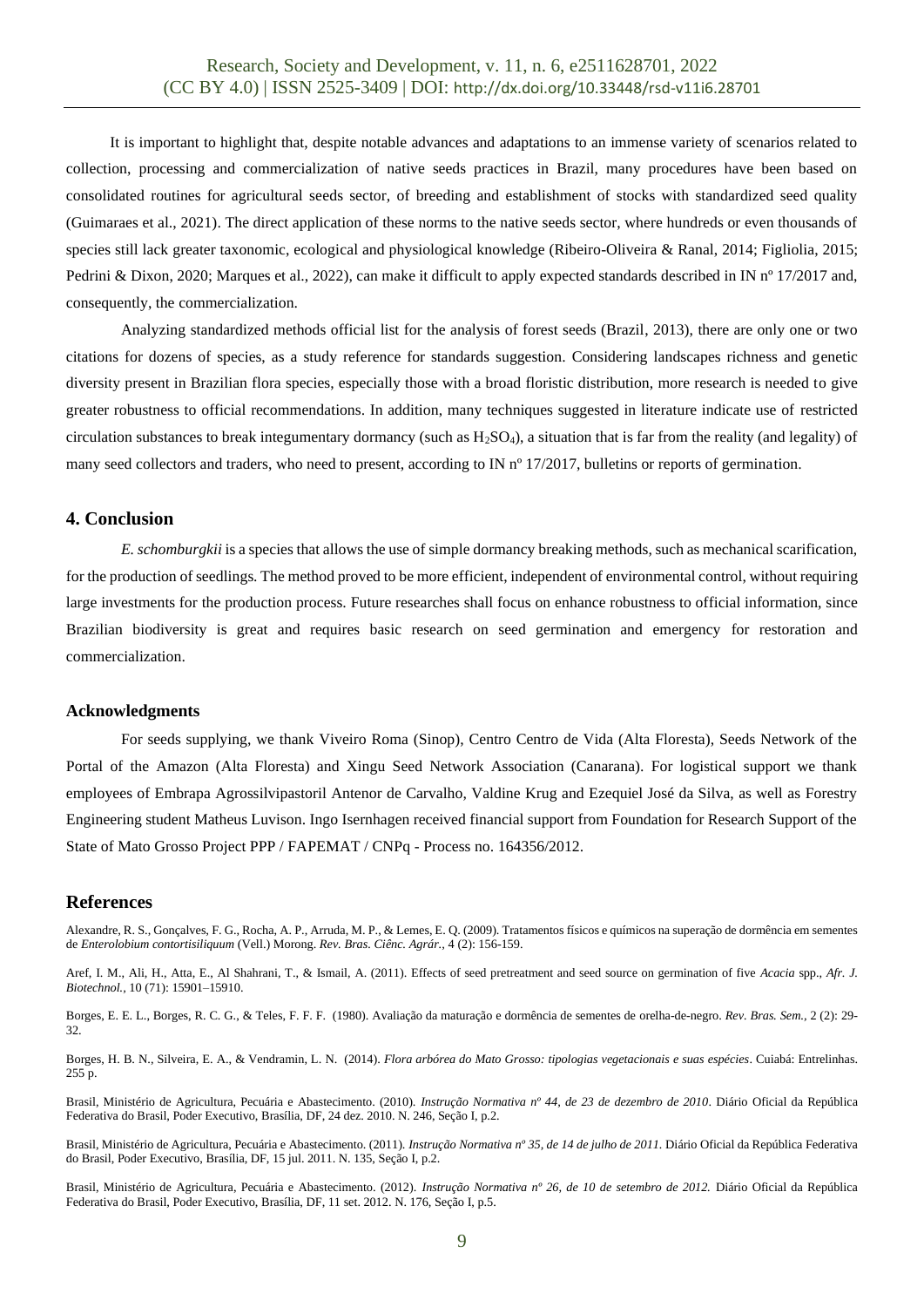It is important to highlight that, despite notable advances and adaptations to an immense variety of scenarios related to collection, processing and commercialization of native seeds practices in Brazil, many procedures have been based on consolidated routines for agricultural seeds sector, of breeding and establishment of stocks with standardized seed quality (Guimaraes et al., 2021). The direct application of these norms to the native seeds sector, where hundreds or even thousands of species still lack greater taxonomic, ecological and physiological knowledge (Ribeiro-Oliveira & Ranal, 2014; Figliolia, 2015; Pedrini & Dixon, 2020; Marques et al., 2022), can make it difficult to apply expected standards described in IN nº 17/2017 and, consequently, the commercialization.

Analyzing standardized methods official list for the analysis of forest seeds (Brazil, 2013), there are only one or two citations for dozens of species, as a study reference for standards suggestion. Considering landscapes richness and genetic diversity present in Brazilian flora species, especially those with a broad floristic distribution, more research is needed to give greater robustness to official recommendations. In addition, many techniques suggested in literature indicate use of restricted circulation substances to break integumentary dormancy (such as  $H_2SO_4$ ), a situation that is far from the reality (and legality) of many seed collectors and traders, who need to present, according to IN n° 17/2017, bulletins or reports of germination.

## **4. Conclusion**

*E. schomburgkii* is a species that allows the use of simple dormancy breaking methods, such as mechanical scarification, for the production of seedlings. The method proved to be more efficient, independent of environmental control, without requiring large investments for the production process. Future researches shall focus on enhance robustness to official information, since Brazilian biodiversity is great and requires basic research on seed germination and emergency for restoration and commercialization.

#### **Acknowledgments**

For seeds supplying, we thank Viveiro Roma (Sinop), Centro Centro de Vida (Alta Floresta), Seeds Network of the Portal of the Amazon (Alta Floresta) and Xingu Seed Network Association (Canarana). For logistical support we thank employees of Embrapa Agrossilvipastoril Antenor de Carvalho, Valdine Krug and Ezequiel José da Silva, as well as Forestry Engineering student Matheus Luvison. Ingo Isernhagen received financial support from Foundation for Research Support of the State of Mato Grosso Project PPP / FAPEMAT / CNPq - Process no. 164356/2012.

#### **References**

Alexandre, R. S., Gonçalves, F. G., Rocha, A. P., Arruda, M. P., & Lemes, E. Q. (2009). Tratamentos físicos e químicos na superação de dormência em sementes de *Enterolobium contortisiliquum* (Vell.) Morong. *Rev. Bras. Ciênc. Agrár.,* 4 (2): 156-159.

Aref, I. M., Ali, H., Atta, E., Al Shahrani, T., & Ismail, A. (2011). Effects of seed pretreatment and seed source on germination of five *Acacia* spp., *Afr. J. Biotechnol.,* 10 (71): 15901–15910.

Borges, E. E. L., Borges, R. C. G., & Teles, F. F. F. (1980). Avaliação da maturação e dormência de sementes de orelha-de-negro. *Rev. Bras. Sem.,* 2 (2): 29- 32.

Borges, H. B. N., Silveira, E. A., & Vendramin, L. N. (2014). *Flora arbórea do Mato Grosso: tipologias vegetacionais e suas espécies*. Cuiabá: Entrelinhas. 255 p.

Brasil, Ministério de Agricultura, Pecuária e Abastecimento. (2010). *Instrução Normativa nº 44, de 23 de dezembro de 2010*. Diário Oficial da República Federativa do Brasil, Poder Executivo, Brasília, DF, 24 dez. 2010. N. 246, Seção I, p.2.

Brasil, Ministério de Agricultura, Pecuária e Abastecimento. (2011). *Instrução Normativa nº 35, de 14 de julho de 2011.* Diário Oficial da República Federativa do Brasil, Poder Executivo, Brasília, DF, 15 jul. 2011. N. 135, Seção I, p.2.

Brasil, Ministério de Agricultura, Pecuária e Abastecimento. (2012). *Instrução Normativa nº 26, de 10 de setembro de 2012.* Diário Oficial da República Federativa do Brasil, Poder Executivo, Brasília, DF, 11 set. 2012. N. 176, Seção I, p.5.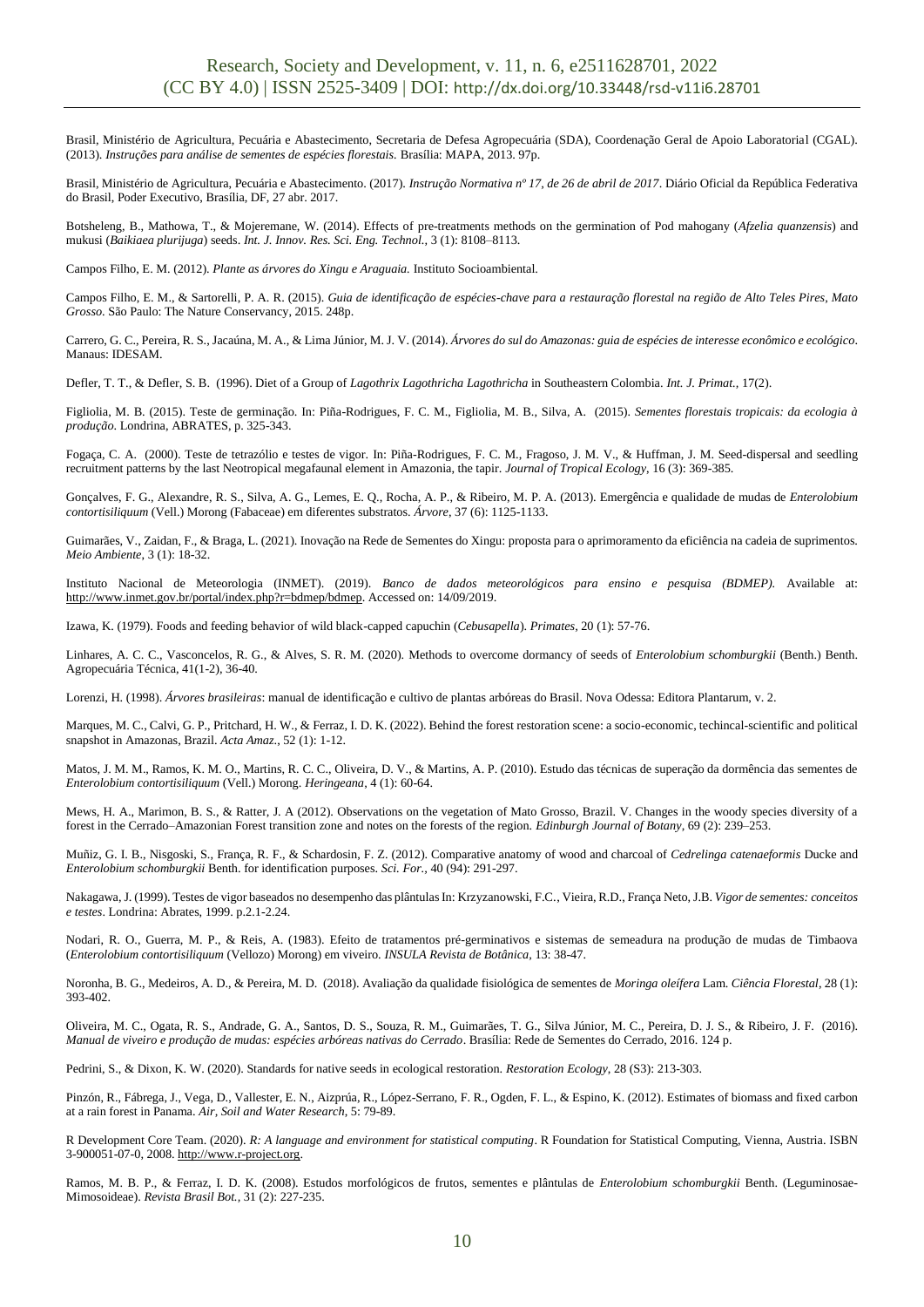Brasil, Ministério de Agricultura, Pecuária e Abastecimento, Secretaria de Defesa Agropecuária (SDA), Coordenação Geral de Apoio Laboratorial (CGAL). (2013). *Instruções para análise de sementes de espécies florestais.* Brasília: MAPA, 2013. 97p.

Brasil, Ministério de Agricultura, Pecuária e Abastecimento. (2017). *Instrução Normativa nº 17, de 26 de abril de 2017*. Diário Oficial da República Federativa do Brasil, Poder Executivo, Brasília, DF, 27 abr. 2017.

Botsheleng, B., Mathowa, T., & Mojeremane, W. (2014). Effects of pre-treatments methods on the germination of Pod mahogany (*Afzelia quanzensis*) and mukusi (*Baikiaea plurijuga*) seeds. *Int. J. Innov. Res. Sci. Eng. Technol.,* 3 (1): 8108–8113.

Campos Filho, E. M. (2012). *Plante as árvores do Xingu e Araguaia.* Instituto Socioambiental.

Campos Filho, E. M., & Sartorelli, P. A. R. (2015). *Guia de identificação de espécies-chave para a restauração florestal na região de Alto Teles Pires, Mato Grosso*. São Paulo: The Nature Conservancy, 2015. 248p.

Carrero, G. C., Pereira, R. S., Jacaúna, M. A., & Lima Júnior, M. J. V. (2014). *Árvores do sul do Amazonas: guia de espécies de interesse econômico e ecológico*. Manaus: IDESAM.

Defler, T. T., & Defler, S. B. (1996). Diet of a Group of *Lagothrix Lagothricha Lagothricha* in Southeastern Colombia. *Int. J. Primat.,* 17(2).

Figliolia, M. B. (2015). Teste de germinação. In: Piña-Rodrigues, F. C. M., Figliolia, M. B., Silva, A. (2015). *Sementes florestais tropicais: da ecologia à produção*. Londrina, ABRATES, p. 325-343.

Fogaça, C. A. (2000). Teste de tetrazólio e testes de vigor. In: Piña-Rodrigues, F. C. M., Fragoso, J. M. V., & Huffman, J. M. Seed-dispersal and seedling recruitment patterns by the last Neotropical megafaunal element in Amazonia, the tapir. *Journal of Tropical Ecology*, 16 (3): 369-385.

Gonçalves, F. G., Alexandre, R. S., Silva, A. G., Lemes, E. Q., Rocha, A. P., & Ribeiro, M. P. A. (2013). Emergência e qualidade de mudas de *Enterolobium contortisiliquum* (Vell.) Morong (Fabaceae) em diferentes substratos. *Árvore*, 37 (6): 1125-1133.

Guimarães, V., Zaidan, F., & Braga, L. (2021). Inovação na Rede de Sementes do Xingu: proposta para o aprimoramento da eficiência na cadeia de suprimentos. *Meio Ambiente*, 3 (1): 18-32.

Instituto Nacional de Meteorologia (INMET). (2019). *Banco de dados meteorológicos para ensino e pesquisa (BDMEP).* Available at: http://www.inmet.gov.br/portal/index.php?r=bdmep/bdmep. Accessed on: 14/09/2019.

Izawa, K. (1979). Foods and feeding behavior of wild black-capped capuchin (*Cebusapella*). *Primates,* 20 (1): 57-76.

Linhares, A. C. C., Vasconcelos, R. G., & Alves, S. R. M. (2020). Methods to overcome dormancy of seeds of *Enterolobium schomburgkii* (Benth.) Benth. Agropecuária Técnica, 41(1-2), 36-40.

Lorenzi, H. (1998). *Árvores brasileiras*: manual de identificação e cultivo de plantas arbóreas do Brasil. Nova Odessa: Editora Plantarum, v. 2.

Marques, M. C., Calvi, G. P., Pritchard, H. W., & Ferraz, I. D. K. (2022). Behind the forest restoration scene: a socio-economic, techincal-scientific and political snapshot in Amazonas, Brazil. *Acta Amaz*., 52 (1): 1-12.

Matos, J. M. M., Ramos, K. M. O., Martins, R. C. C., Oliveira, D. V., & Martins, A. P. (2010). Estudo das técnicas de superação da dormência das sementes de *Enterolobium contortisiliquum* (Vell.) Morong. *Heringeana*, 4 (1): 60-64.

Mews, H. A., Marimon, B. S., & Ratter, J. A (2012). Observations on the vegetation of Mato Grosso, Brazil. V. Changes in the woody species diversity of a forest in the Cerrado–Amazonian Forest transition zone and notes on the forests of the region. *Edinburgh Journal of Botany*, 69 (2): 239–253.

Muñiz, G. I. B., Nisgoski, S., França, R. F., & Schardosin, F. Z. (2012). Comparative anatomy of wood and charcoal of *Cedrelinga catenaeformis* Ducke and *Enterolobium schomburgkii* Benth. for identification purposes. *Sci. For.,* 40 (94): 291-297.

Nakagawa, J. (1999). Testes de vigor baseados no desempenho das plântulas In: Krzyzanowski, F.C., Vieira, R.D., França Neto, J.B. *Vigor de sementes: conceitos e testes*. Londrina: Abrates, 1999. p.2.1-2.24.

Nodari, R. O., Guerra, M. P., & Reis, A. (1983). Efeito de tratamentos pré-germinativos e sistemas de semeadura na produção de mudas de Timbaova (*Enterolobium contortisiliquum* (Vellozo) Morong) em viveiro. *INSULA Revista de Botânica,* 13: 38-47.

Noronha, B. G., Medeiros, A. D., & Pereira, M. D. (2018). Avaliação da qualidade fisiológica de sementes de *Moringa oleífera* Lam. *Ciência Florestal*, 28 (1): 393-402.

Oliveira, M. C., Ogata, R. S., Andrade, G. A., Santos, D. S., Souza, R. M., Guimarães, T. G., Silva Júnior, M. C., Pereira, D. J. S., & Ribeiro, J. F. (2016). *Manual de viveiro e produção de mudas: espécies arbóreas nativas do Cerrado*. Brasília: Rede de Sementes do Cerrado, 2016. 124 p.

Pedrini, S., & Dixon, K. W. (2020). Standards for native seeds in ecological restoration. *Restoration Ecology*, 28 (S3): 213-303.

Pinzón, R., Fábrega, J., Vega, D., Vallester, E. N., Aizprúa, R., López-Serrano, F. R., Ogden, F. L., & Espino, K. (2012). Estimates of biomass and fixed carbon at a rain forest in Panama. *Air, Soil and Water Research*, 5: 79-89.

R Development Core Team. (2020). *R: A language and environment for statistical computing*. R Foundation for Statistical Computing, Vienna, Austria. ISBN 3-900051-07-0, 2008. http://www.r-project.org.

Ramos, M. B. P., & Ferraz, I. D. K. (2008). Estudos morfológicos de frutos, sementes e plântulas de *Enterolobium schomburgkii* Benth. (Leguminosae-Mimosoideae). *Revista Brasil Bot.,* 31 (2): 227-235.